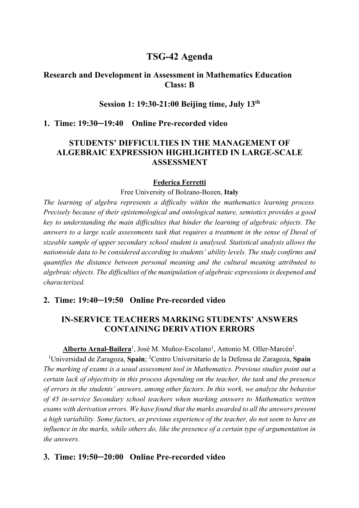# **TSG-42 Agenda**

## **Research and Development in Assessment in Mathematics Education Class: B**

### **Session 1: 19:30-21:00 Beijing time, July 13th**

### **1. Time: 19:30─19:40 Online Pre-recorded video**

## **STUDENTS' DIFFICULTIES IN THE MANAGEMENT OF ALGEBRAIC EXPRESSION HIGHLIGHTED IN LARGE-SCALE ASSESSMENT**

#### **Federica Ferretti**

Free University of Bolzano-Bozen, **Italy**

*The learning of algebra represents a difficulty within the mathematics learning process. Precisely because of their epistemological and ontological nature, semiotics provides a good key to understanding the main difficulties that hinder the learning of algebraic objects. The answers to a large scale assessments task that requires a treatment in the sense of Duval of sizeable sample of upper secondary school student is analysed. Statistical analysis allows the nationwide data to be considered according to students' ability levels. The study confirms and quantifies the distance between personal meaning and the cultural meaning attributed to algebraic objects. The difficulties of the manipulation of algebraic expressions is deepened and characterized.*

### **2. Time: 19:40─19:50 Online Pre-recorded video**

## **IN-SERVICE TEACHERS MARKING STUDENTS' ANSWERS CONTAINING DERIVATION ERRORS**

Alberto Arnal-Bailera<sup>1</sup>, José M. Muñoz-Escolano<sup>1</sup>, Antonio M. Oller-Marcén<sup>2</sup>.

<sup>1</sup>Universidad de Zaragoza, Spain; <sup>2</sup>Centro Universitario de la Defensa de Zaragoza, Spain *The marking of exams is a usual assessment tool in Mathematics. Previous studies point out a certain lack of objectivity in this process depending on the teacher, the task and the presence of errors in the students' answers, among other factors. In this work, we analyze the behavior of 45 in-service Secondary school teachers when marking answers to Mathematics written exams with derivation errors. We have found that the marks awarded to all the answers present a high variability. Some factors, as previous experience of the teacher, do not seem to have an influence in the marks, while others do, like the presence of a certain type of argumentation in the answers.*

### **3. Time: 19:50─20:00 Online Pre-recorded video**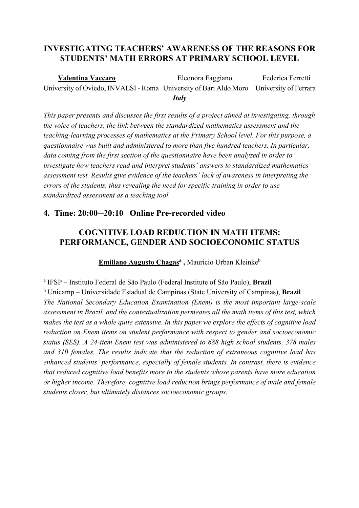# **INVESTIGATING TEACHERS' AWARENESS OF THE REASONS FOR STUDENTS' MATH ERRORS AT PRIMARY SCHOOL LEVEL**

 **Valentina Vaccaro** Eleonora Faggiano Federica Ferretti University of Oviedo, INVALSI - Roma University of Bari Aldo Moro University of Ferrara *Italy*

*This paper presents and discusses the first results of a project aimed at investigating, through the voice of teachers, the link between the standardized mathematics assessment and the teaching-learning processes of mathematics at the Primary School level. For this purpose, a questionnaire was built and administered to more than five hundred teachers. In particular, data coming from the first section of the questionnaire have been analyzed in order to investigate how teachers read and interpret students' answers to standardized mathematics assessment test. Results give evidence of the teachers' lack of awareness in interpreting the errors of the students, thus revealing the need for specific training in order to use standardized assessment as a teaching tool.*

## **4. Time: 20:00─20:10 Online Pre-recorded video**

# **COGNITIVE LOAD REDUCTION IN MATH ITEMS: PERFORMANCE, GENDER AND SOCIOECONOMIC STATUS**

**Emiliano Augusto Chagas<sup>a</sup>**, Mauricio Urban Kleinke<sup>b</sup>

<sup>a</sup> IFSP – Instituto Federal de São Paulo (Federal Institute of São Paulo), **Brazil** <sup>b</sup> Unicamp – Universidade Estadual de Campinas (State University of Campinas), **Brazil** *The National Secondary Education Examination (Enem) is the most important large-scale assessment in Brazil, and the contextualization permeates all the math items of this test, which makes the test as a whole quite extensive. In this paper we explore the effects of cognitive load reduction on Enem items on student performance with respect to gender and socioeconomic status (SES). A 24-item Enem test was administered to 688 high school students, 378 males and 310 females. The results indicate that the reduction of extraneous cognitive load has enhanced students' performance, especially of female students. In contrast, there is evidence that reduced cognitive load benefits more to the students whose parents have more education or higher income. Therefore, cognitive load reduction brings performance of male and female students closer, but ultimately distances socioeconomic groups.*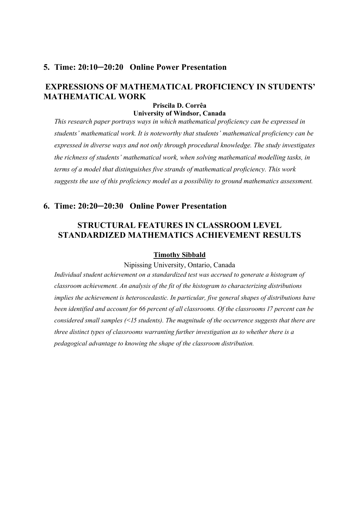### **5. Time: 20:10─20:20 Online Power Presentation**

# **EXPRESSIONS OF MATHEMATICAL PROFICIENCY IN STUDENTS' MATHEMATICAL WORK**

#### **Priscila D. Corrêa University of Windsor, Canada**

*This research paper portrays ways in which mathematical proficiency can be expressed in students' mathematical work. It is noteworthy that students' mathematical proficiency can be expressed in diverse ways and not only through procedural knowledge. The study investigates the richness of students' mathematical work, when solving mathematical modelling tasks, in terms of a model that distinguishes five strands of mathematical proficiency. This work suggests the use of this proficiency model as a possibility to ground mathematics assessment.*

### **6. Time: 20:20─20:30 Online Power Presentation**

## **STRUCTURAL FEATURES IN CLASSROOM LEVEL STANDARDIZED MATHEMATICS ACHIEVEMENT RESULTS**

#### **Timothy Sibbald**

Nipissing University, Ontario, Canada

*Individual student achievement on a standardized test was accrued to generate a histogram of classroom achievement. An analysis of the fit of the histogram to characterizing distributions implies the achievement is heteroscedastic. In particular, five general shapes of distributions have been identified and account for 66 percent of all classrooms. Of the classrooms 17 percent can be considered small samples (<15 students). The magnitude of the occurrence suggests that there are three distinct types of classrooms warranting further investigation as to whether there is a pedagogical advantage to knowing the shape of the classroom distribution.*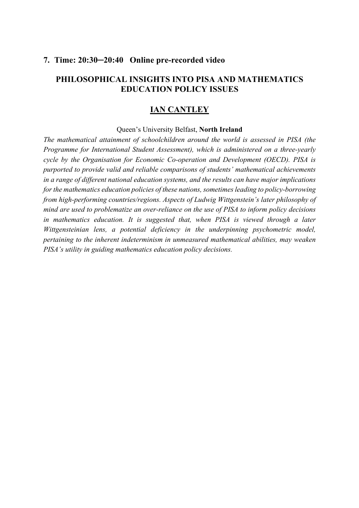### **7. Time: 20:30─20:40 Online pre-recorded video**

## **PHILOSOPHICAL INSIGHTS INTO PISA AND MATHEMATICS EDUCATION POLICY ISSUES**

# **IAN CANTLEY**

#### Queen's University Belfast, **North Ireland**

*The mathematical attainment of schoolchildren around the world is assessed in PISA (the Programme for International Student Assessment), which is administered on a three-yearly cycle by the Organisation for Economic Co-operation and Development (OECD). PISA is purported to provide valid and reliable comparisons of students' mathematical achievements in a range of different national education systems, and the results can have major implications for the mathematics education policies of these nations, sometimes leading to policy-borrowing from high-performing countries/regions. Aspects of Ludwig Wittgenstein's later philosophy of mind are used to problematize an over-reliance on the use of PISA to inform policy decisions in mathematics education. It is suggested that, when PISA is viewed through a later Wittgensteinian lens, a potential deficiency in the underpinning psychometric model, pertaining to the inherent indeterminism in unmeasured mathematical abilities, may weaken PISA's utility in guiding mathematics education policy decisions.*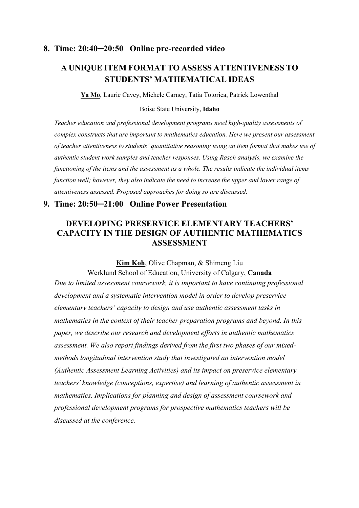### **8. Time: 20:40─20:50 Online pre-recorded video**

# **A UNIQUE ITEM FORMAT TO ASSESS ATTENTIVENESS TO STUDENTS' MATHEMATICAL IDEAS**

**Ya Mo**, Laurie Cavey, Michele Carney, Tatia Totorica, Patrick Lowenthal

Boise State University, **Idaho**

*Teacher education and professional development programs need high-quality assessments of complex constructs that are important to mathematics education. Here we present our assessment of teacher attentiveness to students' quantitative reasoning using an item format that makes use of authentic student work samples and teacher responses. Using Rasch analysis, we examine the functioning of the items and the assessment as a whole. The results indicate the individual items function well; however, they also indicate the need to increase the upper and lower range of attentiveness assessed. Proposed approaches for doing so are discussed.*

### **9. Time: 20:50─21:00 Online Power Presentation**

## **DEVELOPING PRESERVICE ELEMENTARY TEACHERS' CAPACITY IN THE DESIGN OF AUTHENTIC MATHEMATICS ASSESSMENT**

**Kim Koh**, Olive Chapman, & Shimeng Liu

Werklund School of Education, University of Calgary, **Canada** *Due to limited assessment coursework, it is important to have continuing professional development and a systematic intervention model in order to develop preservice elementary teachers' capacity to design and use authentic assessment tasks in mathematics in the context of their teacher preparation programs and beyond. In this paper, we describe our research and development efforts in authentic mathematics assessment. We also report findings derived from the first two phases of our mixedmethods longitudinal intervention study that investigated an intervention model (Authentic Assessment Learning Activities) and its impact on preservice elementary teachers' knowledge (conceptions, expertise) and learning of authentic assessment in mathematics. Implications for planning and design of assessment coursework and professional development programs for prospective mathematics teachers will be discussed at the conference.*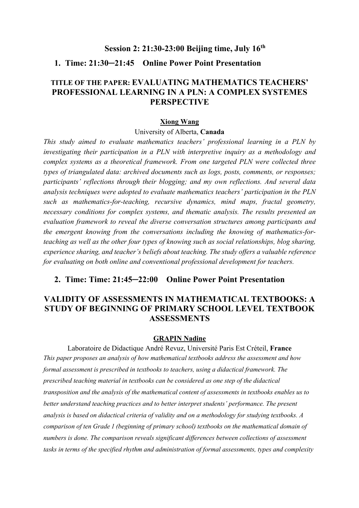#### **Session 2: 21:30-23:00 Beijing time, July 16th**

## **1. Time: 21:30─21:45 Online Power Point Presentation**

## **TITLE OF THE PAPER: EVALUATING MATHEMATICS TEACHERS' PROFESSIONAL LEARNING IN A PLN: A COMPLEX SYSTEMES PERSPECTIVE**

#### **Xiong Wang**

#### University of Alberta, **Canada**

*This study aimed to evaluate mathematics teachers' professional learning in a PLN by investigating their participation in a PLN with interpretive inquiry as a methodology and complex systems as a theoretical framework. From one targeted PLN were collected three types of triangulated data: archived documents such as logs, posts, comments, or responses; participants' reflections through their blogging; and my own reflections. And several data analysis techniques were adopted to evaluate mathematics teachers' participation in the PLN such as mathematics-for-teaching, recursive dynamics, mind maps, fractal geometry, necessary conditions for complex systems, and thematic analysis. The results presented an evaluation framework to reveal the diverse conversation structures among participants and the emergent knowing from the conversations including the knowing of mathematics-forteaching as well as the other four types of knowing such as social relationships, blog sharing, experience sharing, and teacher's beliefs about teaching. The study offers a valuable reference for evaluating on both online and conventional professional development for teachers.* 

### **2. Time: Time: 21:45─22:00 Online Power Point Presentation**

## **VALIDITY OF ASSESSMENTS IN MATHEMATICAL TEXTBOOKS: A STUDY OF BEGINNING OF PRIMARY SCHOOL LEVEL TEXTBOOK ASSESSMENTS**

#### **GRAPIN Nadine**

Laboratoire de Didactique André Revuz, Université Paris Est Créteil, **France** *This paper proposes an analysis of how mathematical textbooks address the assessment and how formal assessment is prescribed in textbooks to teachers, using a didactical framework. The prescribed teaching material in textbooks can be considered as one step of the didactical transposition and the analysis of the mathematical content of assessments in textbooks enables us to better understand teaching practices and to better interpret students' performance. The present analysis is based on didactical criteria of validity and on a methodology for studying textbooks. A comparison of ten Grade > (beginning of primary school) textbooks on the mathematical domain of numbers is done. The comparison reveals significant differences between collections of assessment tasks in terms of the specified rhythm and administration of formal assessments, types and complexity*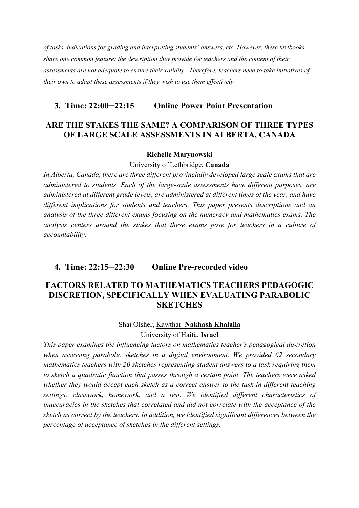*of tasks, indications for grading and interpreting students' answers, etc. However, these textbooks share one common feature: the description they provide for teachers and the content of their assessments are not adequate to ensure their validity. Therefore, teachers need to take initiatives of their own to adapt these assessments if they wish to use them effectively.*

### **3. Time: 22:00─22:15 Online Power Point Presentation**

## **ARE THE STAKES THE SAME? A COMPARISON OF THREE TYPES OF LARGE SCALE ASSESSMENTS IN ALBERTA, CANADA**

#### **Richelle Marynowski**

#### University of Lethbridge, **Canada**

*In Alberta, Canada, there are three different provincially developed large scale exams that are administered to students. Each of the large-scale assessments have different purposes, are administered at different grade levels, are administered at different times of the year, and have different implications for students and teachers. This paper presents descriptions and an analysis of the three different exams focusing on the numeracy and mathematics exams. The analysis centers around the stakes that these exams pose for teachers in a culture of accountability.*

### **4. Time: 22:15─22:30 Online Pre-recorded video**

## **FACTORS RELATED TO MATHEMATICS TEACHERS PEDAGOGIC DISCRETION, SPECIFICALLY WHEN EVALUATING PARABOLIC SKETCHES**

#### Shai Olsher, Kawthar **Nakhash Khalaila**

University of Haifa, **Israel** 

*This paper examines the influencing factors on mathematics teacher's pedagogical discretion*  when assessing parabolic sketches in a digital environment. We provided 62 secondary *mathematics teachers with 20 sketches representing student answers to a task requiring them to sketch a quadratic function that passes through a certain point. The teachers were asked whether they would accept each sketch as a correct answer to the task in different teaching settings: classwork, homework, and a test. We identified different characteristics of inaccuracies in the sketches that correlated and did not correlate with the acceptance of the sketch as correct by the teachers. In addition, we identified significant differences between the percentage of acceptance of sketches in the different settings.*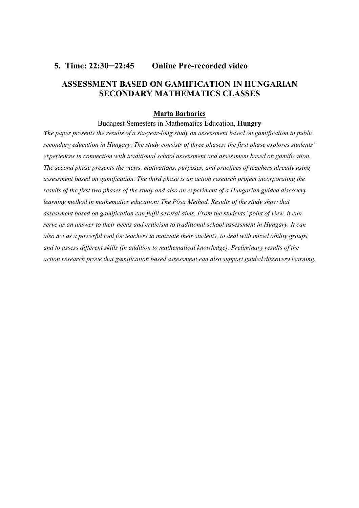### **5. Time: 22:30─22:45 Online Pre-recorded video**

## **ASSESSMENT BASED ON GAMIFICATION IN HUNGARIAN SECONDARY MATHEMATICS CLASSES**

#### **Marta Barbarics**

#### Budapest Semesters in Mathematics Education, **Hungry**

*The paper presents the results of a six-year-long study on assessment based on gamification in public secondary education in Hungary. The study consists of three phases: the first phase explores students' experiences in connection with traditional school assessment and assessment based on gamification. The second phase presents the views, motivations, purposes, and practices of teachers already using assessment based on gamification. The third phase is an action research project incorporating the results of the first two phases of the study and also an experiment of a Hungarian guided discovery learning method in mathematics education: The Pósa Method. Results of the study show that assessment based on gamification can fulfil several aims. From the students' point of view, it can serve as an answer to their needs and criticism to traditional school assessment in Hungary. It can also act as a powerful tool for teachers to motivate their students, to deal with mixed ability groups, and to assess different skills (in addition to mathematical knowledge). Preliminary results of the action research prove that gamification based assessment can also support guided discovery learning.*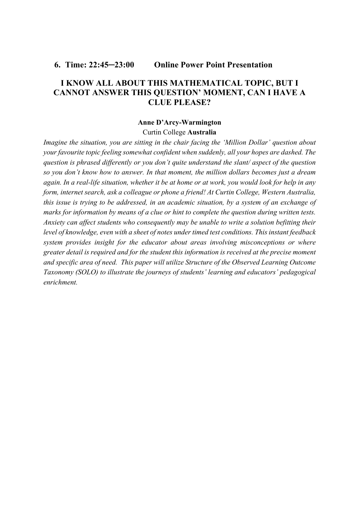**6. Time: 22:45─23:00 Online Power Point Presentation** 

## **I KNOW ALL ABOUT THIS MATHEMATICAL TOPIC, BUT I CANNOT ANSWER THIS QUESTION' MOMENT, CAN I HAVE A CLUE PLEASE?**

## **Anne D'Arcy-Warmington**

#### Curtin College **Australia**

*Imagine the situation, you are sitting in the chair facing the 'Million Dollar' question about your favourite topic feeling somewhat confident when suddenly, all your hopes are dashed. The question is phrased differently or you don't quite understand the slant/ aspect of the question so you don't know how to answer. In that moment, the million dollars becomes just a dream again. In a real-life situation, whether it be at home or at work, you would look for help in any form, internet search, ask a colleague or phone a friend! At Curtin College, Western Australia, this issue is trying to be addressed, in an academic situation, by a system of an exchange of marks for information by means of a clue or hint to complete the question during written tests. Anxiety can affect students who consequently may be unable to write a solution befitting their level of knowledge, even with a sheet of notes under timed test conditions. This instant feedback system provides insight for the educator about areas involving misconceptions or where greater detail is required and for the student this information is received at the precise moment and specific area of need. This paper will utilize Structure of the Observed Learning Outcome Taxonomy (SOLO) to illustrate the journeys of students' learning and educators' pedagogical enrichment.*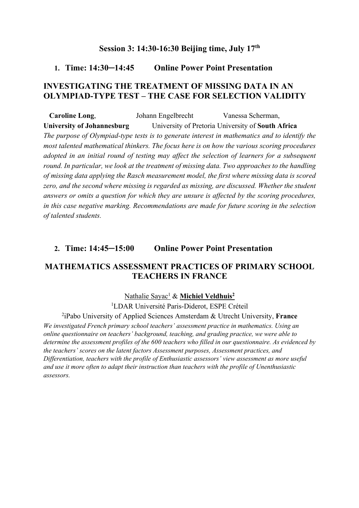## **Session 3: 14:30-16:30 Beijing time, July 17th**

### **1. Time: 14:30─14:45 Online Power Point Presentation**

## **INVESTIGATING THE TREATMENT OF MISSING DATA IN AN OLYMPIAD-TYPE TEST – THE CASE FOR SELECTION VALIDITY**

**Caroline Long**, Johann Engelbrecht Vanessa Scherman, **University of Johannesburg** University of Pretoria University of **South Africa**  *The purpose of Olympiad-type tests is to generate interest in mathematics and to identify the most talented mathematical thinkers. The focus here is on how the various scoring procedures adopted in an initial round of testing may affect the selection of learners for a subsequent round. In particular, we look at the treatment of missing data. Two approaches to the handling of missing data applying the Rasch measurement model, the first where missing data is scored zero, and the second where missing is regarded as missing, are discussed. Whether the student answers or omits a question for which they are unsure is affected by the scoring procedures, in this case negative marking. Recommendations are made for future scoring in the selection of talented students.*

## **2. Time: 14:45─15:00 Online Power Point Presentation**

## **MATHEMATICS ASSESSMENT PRACTICES OF PRIMARY SCHOOL TEACHERS IN FRANCE**

#### Nathalie Sayac<sup>1</sup> & **Michiel Veldhuis<sup>2</sup>**

<sup>1</sup>LDAR Université Paris-Diderot, ESPE Créteil

2 iPabo University of Applied Sciences Amsterdam & Utrecht University, **France**

*We investigated French primary school teachers' assessment practice in mathematics. Using an online questionnaire on teachers' background, teaching, and grading practice, we were able to determine the assessment profiles of the 600 teachers who filled in our questionnaire. As evidenced by the teachers' scores on the latent factors Assessment purposes, Assessment practices, and Differentiation, teachers with the profile of Enthusiastic assessors' view assessment as more useful and use it more often to adapt their instruction than teachers with the profile of Unenthusiastic assessors.*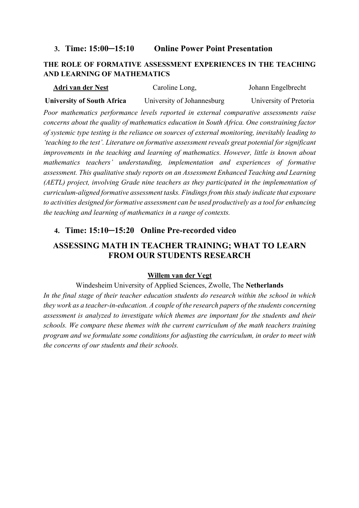### **3. Time: 15:00─15:10 Online Power Point Presentation**

## **THE ROLE OF FORMATIVE ASSESSMENT EXPERIENCES IN THE TEACHING AND LEARNING OF MATHEMATICS**

| Adri van der Nest                 | Caroline Long,             | Johann Engelbrecht     |
|-----------------------------------|----------------------------|------------------------|
| <b>University of South Africa</b> | University of Johannesburg | University of Pretoria |

*Poor mathematics performance levels reported in external comparative assessments raise concerns about the quality of mathematics education in South Africa. One constraining factor of systemic type testing is the reliance on sources of external monitoring, inevitably leading to 'teaching to the test'. Literature on formative assessment reveals great potential for significant improvements in the teaching and learning of mathematics. However, little is known about mathematics teachers' understanding, implementation and experiences of formative assessment. This qualitative study reports on an Assessment Enhanced Teaching and Learning (AETL) project, involving Grade nine teachers as they participated in the implementation of curriculum-aligned formative assessment tasks. Findings from this study indicate that exposure to activities designed for formative assessment can be used productively as a tool for enhancing the teaching and learning of mathematics in a range of contexts.*

## **4. Time: 15:10─15:20 Online Pre-recorded video**

# **ASSESSING MATH IN TEACHER TRAINING; WHAT TO LEARN FROM OUR STUDENTS RESEARCH**

### **Willem van der Vegt**

Windesheim University of Applied Sciences, Zwolle, The **Netherlands** *In the final stage of their teacher education students do research within the school in which they work as a teacher-in-education. A couple of the research papers of the students concerning assessment is analyzed to investigate which themes are important for the students and their schools. We compare these themes with the current curriculum of the math teachers training program and we formulate some conditions for adjusting the curriculum, in order to meet with the concerns of our students and their schools.*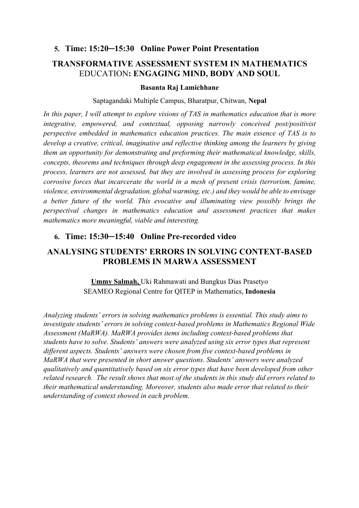## **5. Time: 15:20─15:30 Online Power Point Presentation**

# **TRANSFORMATIVE ASSESSMENT SYSTEM IN MATHEMATICS**  EDUCATION**: ENGAGING MIND, BODY AND SOUL**

#### **Basanta Raj Lamichhane**

#### Saptagandaki Multiple Campus, Bharatpur, Chitwan, **Nepal**

*In this paper, I will attempt to explore visions of TAS in mathematics education that is more integrative, empowered, and contextual, opposing narrowly conceived post/positivist perspective embedded in mathematics education practices. The main essence of TAS is to develop a creative, critical, imaginative and reflective thinking among the learners by giving them an opportunity for demonstrating and preforming their mathematical knowledge, skills, concepts, theorems and techniques through deep engagement in the assessing process. In this process, learners are not assessed, but they are involved in assessing process for exploring corrosive forces that incarcerate the world in a mesh of present crisis (terrorism, famine, violence, environmental degradation, global warming, etc.) and they would be able to envisage a better future of the world. This evocative and illuminating view possibly brings the perspectival changes in mathematics education and assessment practices that makes mathematics more meaningful, viable and interesting.* 

# **6. Time: 15:30─15:40 Online Pre-recorded video**

## **ANALYSING STUDENTS' ERRORS IN SOLVING CONTEXT-BASED PROBLEMS IN MARWA ASSESSMENT**

**Ummy Salmah,** Uki Rahmawati and Bungkus Dias Prasetyo SEAMEO Regional Centre for QITEP in Mathematics, **Indonesia**

*Analyzing students' errors in solving mathematics problems is essential. This study aims to investigate students' errors in solving context-based problems in Mathematics Regional Wide Assessment (MaRWA). MaRWA provides items including context-based problems that students have to solve. Students' answers were analyzed using six error types that represent different aspects. Students' answers were chosen from five context-based problems in MaRWA that were presented in short answer questions. Students' answers were analyzed qualitatively and quantitatively based on six error types that have been developed from other related research. The result shows that most of the students in this study did errors related to their mathematical understanding. Moreover, students also made error that related to their understanding of context showed in each problem.*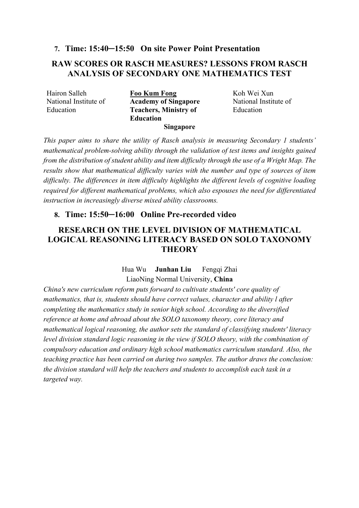### **7. Time: 15:40─15:50 On site Power Point Presentation**

## **RAW SCORES OR RASCH MEASURES? LESSONS FROM RASCH ANALYSIS OF SECONDARY ONE MATHEMATICS TEST**

National Institute of Education

Hairon Salleh **Foo Kum Fong** Koh Wei Xun **Academy of Singapore Teachers, Ministry of Education**

National Institute of Education

#### **Singapore**

*This paper aims to share the utility of Rasch analysis in measuring Secondary 1 students' mathematical problem-solving ability through the validation of test items and insights gained from the distribution of student ability and item difficulty through the use of a Wright Map. The results show that mathematical difficulty varies with the number and type of sources of item difficulty. The differences in item difficulty highlights the different levels of cognitive loading required for different mathematical problems, which also espouses the need for differentiated instruction in increasingly diverse mixed ability classrooms.*

### **8. Time: 15:50─16:00 Online Pre-recorded video**

# **RESEARCH ON THE LEVEL DIVISION OF MATHEMATICAL LOGICAL REASONING LITERACY BASED ON SOLO TAXONOMY THEORY**

## Hua Wu **Junhan Liu** Fengqi Zhai LiaoNing Normal University, **China**

*China's new curriculum reform puts forward to cultivate students' core quality of mathematics, that is, students should have correct values, character and ability l after completing the mathematics study in senior high school. According to the diversified reference at home and abroad about the SOLO taxonomy theory, core literacy and mathematical logical reasoning, the author sets the standard of classifying students' literacy level division standard logic reasoning in the view if SOLO theory, with the combination of compulsory education and ordinary high school mathematics curriculum standard. Also, the teaching practice has been carried on during two samples. The author draws the conclusion: the division standard will help the teachers and students to accomplish each task in a targeted way.*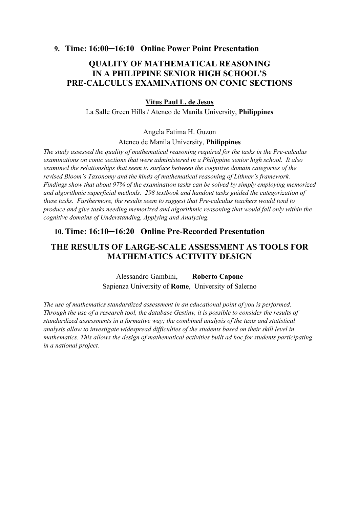**9. Time: 16:00─16:10 Online Power Point Presentation**

# **QUALITY OF MATHEMATICAL REASONING IN A PHILIPPINE SENIOR HIGH SCHOOL'S PRE-CALCULUS EXAMINATIONS ON CONIC SECTIONS**

### **Vitus Paul L. de Jesus**

La Salle Green Hills / Ateneo de Manila University, **Philippines**

#### Angela Fatima H. Guzon

Ateneo de Manila University, **Philippines**

*The study assessed the quality of mathematical reasoning required for the tasks in the Pre-calculus examinations on conic sections that were administered in a Philippine senior high school. It also examined the relationships that seem to surface between the cognitive domain categories of the revised Bloom's Taxonomy and the kinds of mathematical reasoning of Lithner's framework. Findings show that about 97% of the examination tasks can be solved by simply employing memorized and algorithmic superficial methods. 298 textbook and handout tasks guided the categorization of these tasks. Furthermore, the results seem to suggest that Pre-calculus teachers would tend to produce and give tasks needing memorized and algorithmic reasoning that would fall only within the cognitive domains of Understanding, Applying and Analyzing.*

### **10. Time: 16:10─16:20 Online Pre-Recorded Presentation**

## **THE RESULTS OF LARGE-SCALE ASSESSMENT AS TOOLS FOR MATHEMATICS ACTIVITY DESIGN**

Alessandro Gambini, **Roberto Capone** Sapienza University of **Rome**, University of Salerno

*The use of mathematics standardized assessment in an educational point of you is performed. Through the use of a research tool, the database Gestinv, it is possible to consider the results of standardized assessments in a formative way; the combined analysis of the texts and statistical analysis allow to investigate widespread difficulties of the students based on their skill level in mathematics. This allows the design of mathematical activities built ad hoc for students participating in a national project.*